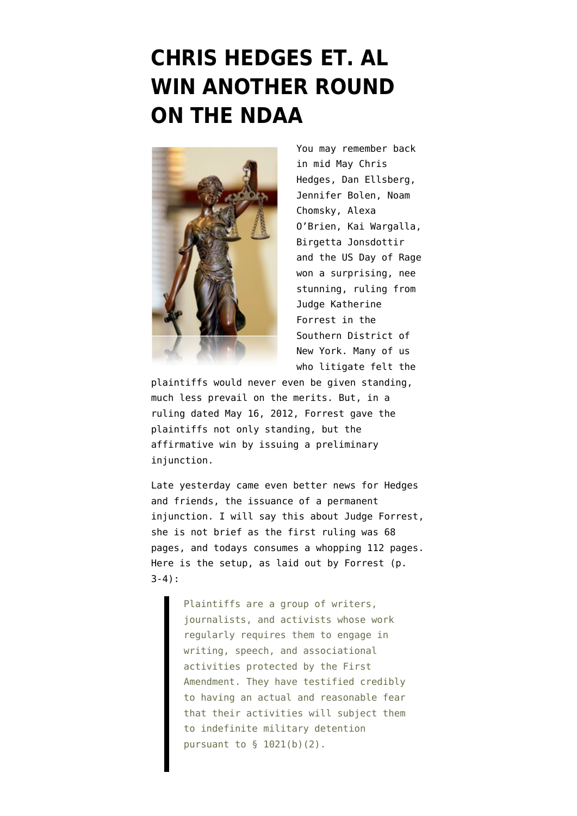## **[CHRIS HEDGES ET. AL](https://www.emptywheel.net/2012/09/13/chris-hedges-et-al-win-another-round-on-the-ndaa/) [WIN ANOTHER ROUND](https://www.emptywheel.net/2012/09/13/chris-hedges-et-al-win-another-round-on-the-ndaa/) [ON THE NDAA](https://www.emptywheel.net/2012/09/13/chris-hedges-et-al-win-another-round-on-the-ndaa/)**



You may remember [back](http://www.emptywheel.net/2012/05/16/judge-enjoins-ndaa-section-1021-because-government-implies-speech-may-equal-terrorism/) [in mid May](http://www.emptywheel.net/2012/05/16/judge-enjoins-ndaa-section-1021-because-government-implies-speech-may-equal-terrorism/) Chris Hedges, Dan Ellsberg, Jennifer Bolen, Noam Chomsky, Alexa O'Brien, Kai Wargalla, Birgetta Jonsdottir and the US Day of Rage won a surprising, nee stunning, ruling from Judge Katherine Forrest in the Southern District of New York. Many of us who litigate felt the

plaintiffs would never even be given standing, much less prevail on the merits. But, in a [ruling dated May 16, 2012,](http://www.emptywheel.net/wp-content/uploads/2012/05/120516-Forrest-NDAA.pdf) Forrest gave the plaintiffs not only standing, but the affirmative win by issuing a preliminary iniunction.

Late yesterday came even better news for Hedges and friends, the issuance of a permanent injunction. I will say this about Judge Forrest, she is not brief as the first ruling was 68 pages, and [todays consumes a whopping 112 pages.](http://www.emptywheel.net/wp-content/uploads/2012/09/12-Civ.-00331-2012.09.12-Permanent-Injunction.pdf) Here is the setup, as laid out by Forrest (p. 3-4):

> Plaintiffs are a group of writers, journalists, and activists whose work regularly requires them to engage in writing, speech, and associational activities protected by the First Amendment. They have testified credibly to having an actual and reasonable fear that their activities will subject them to indefinite military detention pursuant to § 1021(b)(2).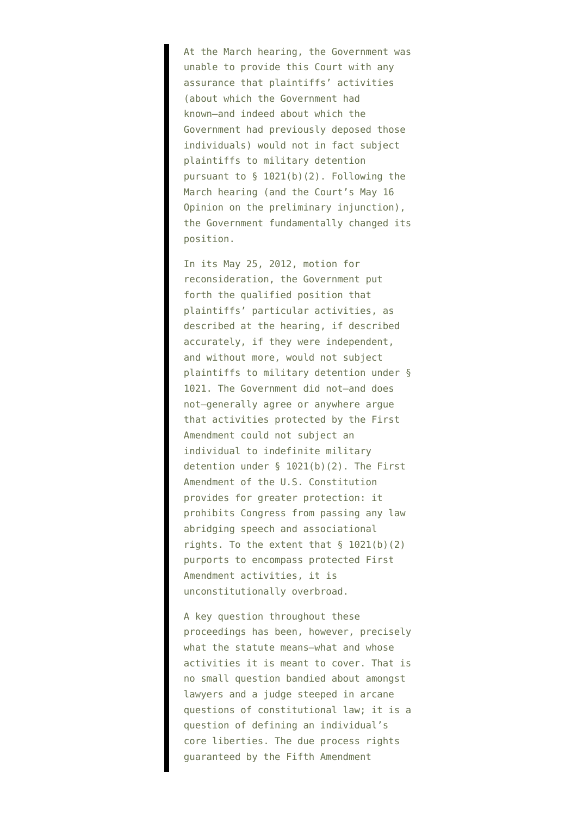At the March hearing, the Government was unable to provide this Court with any assurance that plaintiffs' activities (about which the Government had known–and indeed about which the Government had previously deposed those individuals) would not in fact subject plaintiffs to military detention pursuant to § 1021(b)(2). Following the March hearing (and the Court's May 16 Opinion on the preliminary injunction), the Government fundamentally changed its position.

In its May 25, 2012, motion for reconsideration, the Government put forth the qualified position that plaintiffs' particular activities, as described at the hearing, if described accurately, if they were independent, and without more, would not subject plaintiffs to military detention under § 1021. The Government did not–and does not–generally agree or anywhere argue that activities protected by the First Amendment could not subject an individual to indefinite military detention under § 1021(b)(2). The First Amendment of the U.S. Constitution provides for greater protection: it prohibits Congress from passing any law abridging speech and associational rights. To the extent that  $\S$  1021(b)(2) purports to encompass protected First Amendment activities, it is unconstitutionally overbroad.

A key question throughout these proceedings has been, however, precisely what the statute means–what and whose activities it is meant to cover. That is no small question bandied about amongst lawyers and a judge steeped in arcane questions of constitutional law; it is a question of defining an individual's core liberties. The due process rights guaranteed by the Fifth Amendment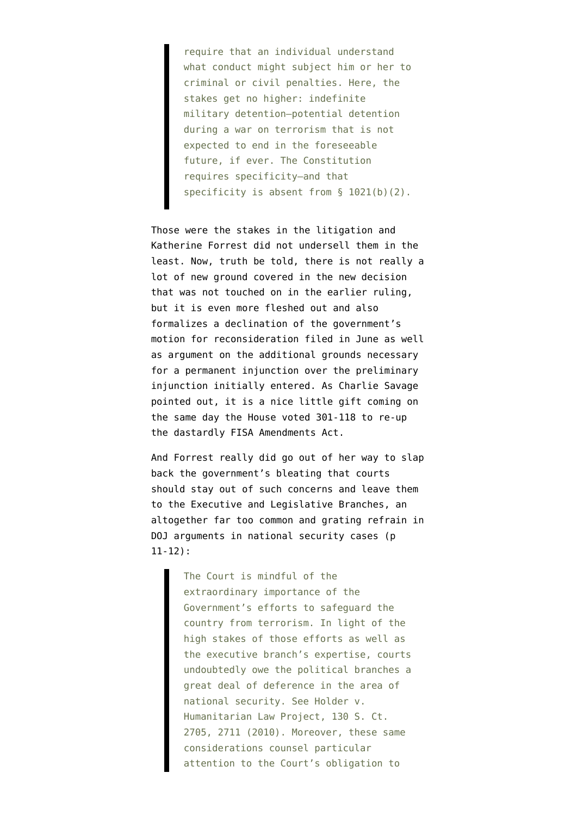require that an individual understand what conduct might subject him or her to criminal or civil penalties. Here, the stakes get no higher: indefinite military detention–potential detention during a war on terrorism that is not expected to end in the foreseeable future, if ever. The Constitution requires specificity–and that specificity is absent from § 1021(b)(2).

Those were the stakes in the litigation and Katherine Forrest did not undersell them in the least. Now, truth be told, there is not really a lot of new ground covered in the new decision that was not touched on in the earlier ruling, but it is even more fleshed out and also formalizes a declination of the government's motion for reconsideration filed in June as well as argument on the additional grounds necessary for a permanent injunction over the preliminary injunction initially entered. As [Charlie Savage](http://www.nytimes.com/2012/09/13/us/judge-blocks-controversial-indefinite-detention-law.html?smid=tw-share) [pointed out](http://www.nytimes.com/2012/09/13/us/judge-blocks-controversial-indefinite-detention-law.html?smid=tw-share), it is a nice little gift coming on the same day the House voted 301-118 to re-up the dastardly FISA Amendments Act.

And Forrest really did go out of her way to slap back the government's bleating that courts should stay out of such concerns and leave them to the Executive and Legislative Branches, an altogether far too common and grating refrain in DOJ arguments in national security cases (p 11-12):

> The Court is mindful of the extraordinary importance of the Government's efforts to safeguard the country from terrorism. In light of the high stakes of those efforts as well as the executive branch's expertise, courts undoubtedly owe the political branches a great deal of deference in the area of national security. See Holder v. Humanitarian Law Project, 130 S. Ct. 2705, 2711 (2010). Moreover, these same considerations counsel particular attention to the Court's obligation to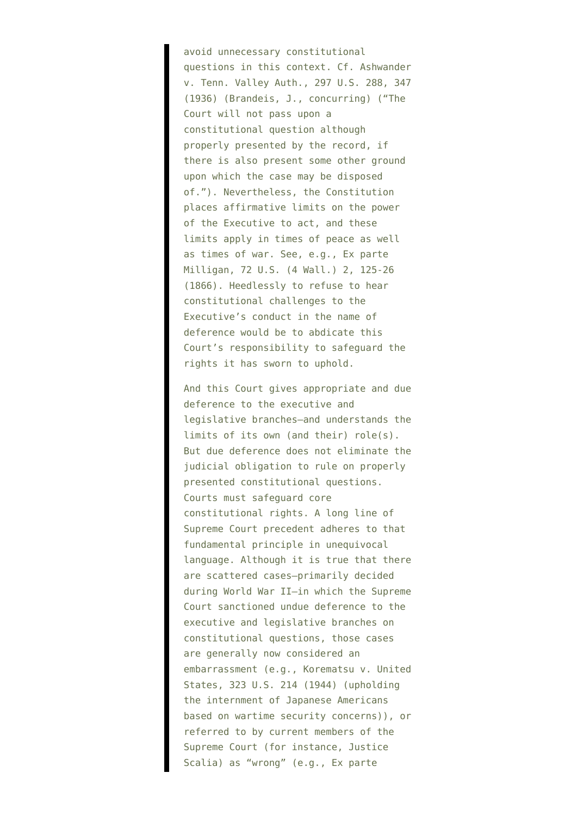avoid unnecessary constitutional questions in this context. Cf. Ashwander v. Tenn. Valley Auth., 297 U.S. 288, 347 (1936) (Brandeis, J., concurring) ("The Court will not pass upon a constitutional question although properly presented by the record, if there is also present some other ground upon which the case may be disposed of."). Nevertheless, the Constitution places affirmative limits on the power of the Executive to act, and these limits apply in times of peace as well as times of war. See, e.g., Ex parte Milligan, 72 U.S. (4 Wall.) 2, 125-26 (1866). Heedlessly to refuse to hear constitutional challenges to the Executive's conduct in the name of deference would be to abdicate this Court's responsibility to safeguard the rights it has sworn to uphold.

And this Court gives appropriate and due deference to the executive and legislative branches–and understands the limits of its own (and their) role(s). But due deference does not eliminate the judicial obligation to rule on properly presented constitutional questions. Courts must safeguard core constitutional rights. A long line of Supreme Court precedent adheres to that fundamental principle in unequivocal language. Although it is true that there are scattered cases–primarily decided during World War II–in which the Supreme Court sanctioned undue deference to the executive and legislative branches on constitutional questions, those cases are generally now considered an embarrassment (e.g., Korematsu v. United States, 323 U.S. 214 (1944) (upholding the internment of Japanese Americans based on wartime security concerns)), or referred to by current members of the Supreme Court (for instance, Justice Scalia) as "wrong" (e.g., Ex parte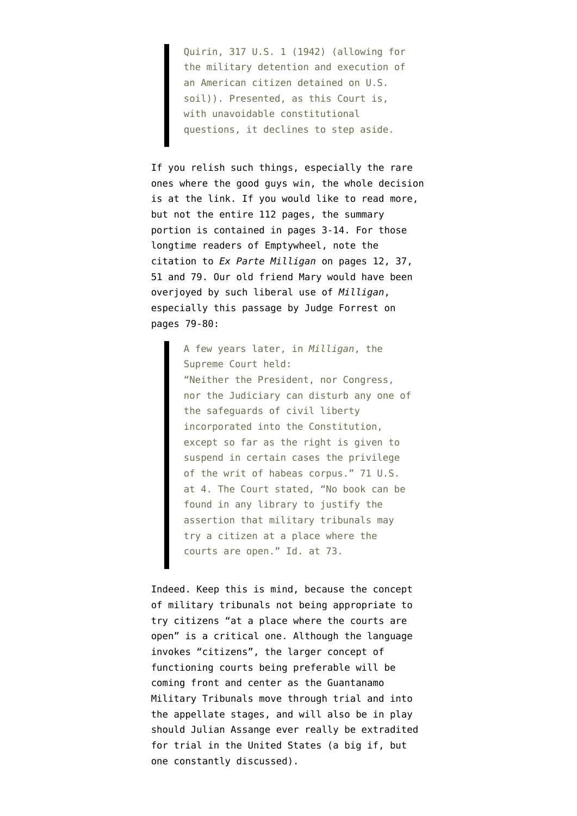Quirin, 317 U.S. 1 (1942) (allowing for the military detention and execution of an American citizen detained on U.S. soil)). Presented, as this Court is, with unavoidable constitutional questions, it declines to step aside.

If you relish such things, especially the rare ones where the good guys win, [the whole decision](http://www.emptywheel.net/wp-content/uploads/2012/09/12-Civ.-00331-2012.09.12-Permanent-Injunction.pdf) [is at the link](http://www.emptywheel.net/wp-content/uploads/2012/09/12-Civ.-00331-2012.09.12-Permanent-Injunction.pdf). If you would like to read more, but not the entire 112 pages, the summary portion is contained in pages 3-14. For those longtime readers of Emptywheel, note the citation to *Ex Parte Milligan* on pages 12, 37, 51 and 79. Our old friend Mary would have been overjoyed by such liberal use of *Milligan*, especially this passage by Judge Forrest on pages 79-80:

> A few years later, in *Milligan*, the Supreme Court held: "Neither the President, nor Congress, nor the Judiciary can disturb any one of the safeguards of civil liberty incorporated into the Constitution, except so far as the right is given to suspend in certain cases the privilege of the writ of habeas corpus." 71 U.S. at 4. The Court stated, "No book can be found in any library to justify the assertion that military tribunals may try a citizen at a place where the courts are open." Id. at 73.

Indeed. Keep this is mind, because the concept of military tribunals not being appropriate to try citizens "at a place where the courts are open" is a critical one. Although the language invokes "citizens", the larger concept of functioning courts being preferable will be coming front and center as the Guantanamo Military Tribunals move through trial and into the appellate stages, and will also be in play should Julian Assange ever really be extradited for trial in the United States (a big if, but one constantly discussed).